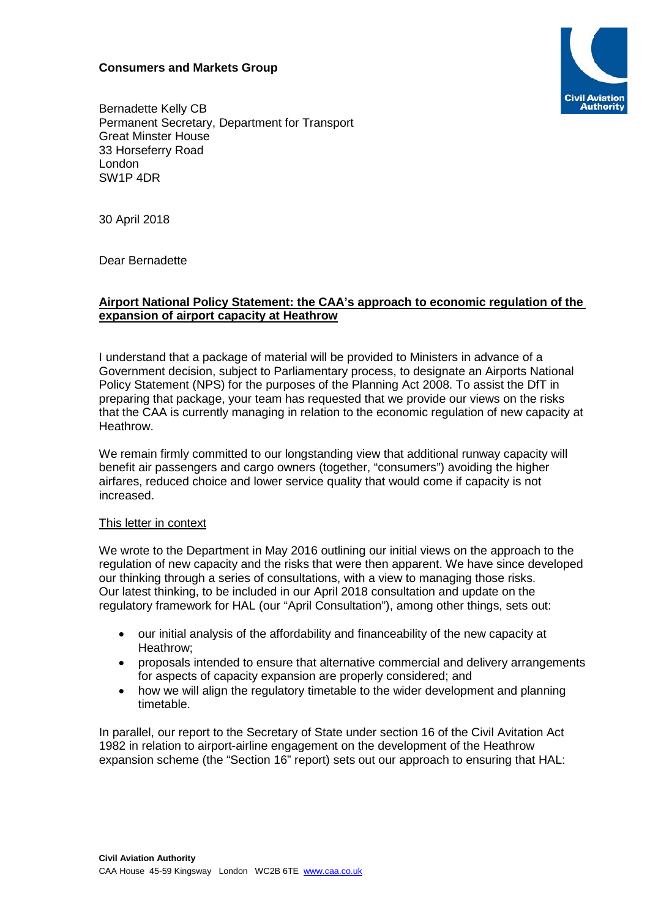## **Consumers and Markets Group**



Bernadette Kelly CB Permanent Secretary, Department for Transport Great Minster House 33 Horseferry Road London SW1P 4DR

30 April 2018

Dear Bernadette

## **Airport National Policy Statement: the CAA's approach to economic regulation of the expansion of airport capacity at Heathrow**

I understand that a package of material will be provided to Ministers in advance of a Government decision, subject to Parliamentary process, to designate an Airports National Policy Statement (NPS) for the purposes of the Planning Act 2008. To assist the DfT in preparing that package, your team has requested that we provide our views on the risks that the CAA is currently managing in relation to the economic regulation of new capacity at Heathrow.

We remain firmly committed to our longstanding view that additional runway capacity will benefit air passengers and cargo owners (together, "consumers") avoiding the higher airfares, reduced choice and lower service quality that would come if capacity is not increased.

## This letter in context

We wrote to the Department in May 2016 outlining our initial views on the approach to the regulation of new capacity and the risks that were then apparent. We have since developed our thinking through a series of consultations, with a view to managing those risks. Our latest thinking, to be included in our April 2018 consultation and update on the regulatory framework for HAL (our "April Consultation"), among other things, sets out:

- our initial analysis of the affordability and financeability of the new capacity at Heathrow;
- proposals intended to ensure that alternative commercial and delivery arrangements for aspects of capacity expansion are properly considered; and
- how we will align the regulatory timetable to the wider development and planning timetable.

In parallel, our report to the Secretary of State under section 16 of the Civil Avitation Act 1982 in relation to airport-airline engagement on the development of the Heathrow expansion scheme (the "Section 16" report) sets out our approach to ensuring that HAL: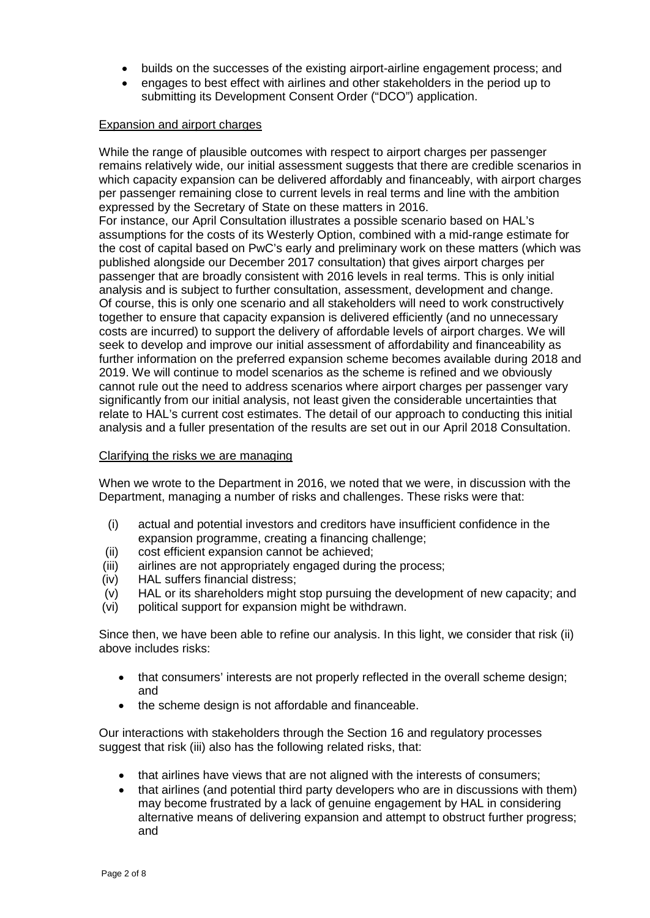- builds on the successes of the existing airport-airline engagement process; and
- engages to best effect with airlines and other stakeholders in the period up to submitting its Development Consent Order ("DCO") application.

## Expansion and airport charges

While the range of plausible outcomes with respect to airport charges per passenger remains relatively wide, our initial assessment suggests that there are credible scenarios in which capacity expansion can be delivered affordably and financeably, with airport charges per passenger remaining close to current levels in real terms and line with the ambition expressed by the Secretary of State on these matters in 2016.

For instance, our April Consultation illustrates a possible scenario based on HAL's assumptions for the costs of its Westerly Option, combined with a mid-range estimate for the cost of capital based on PwC's early and preliminary work on these matters (which was published alongside our December 2017 consultation) that gives airport charges per passenger that are broadly consistent with 2016 levels in real terms. This is only initial analysis and is subject to further consultation, assessment, development and change. Of course, this is only one scenario and all stakeholders will need to work constructively together to ensure that capacity expansion is delivered efficiently (and no unnecessary costs are incurred) to support the delivery of affordable levels of airport charges. We will seek to develop and improve our initial assessment of affordability and financeability as further information on the preferred expansion scheme becomes available during 2018 and 2019. We will continue to model scenarios as the scheme is refined and we obviously cannot rule out the need to address scenarios where airport charges per passenger vary significantly from our initial analysis, not least given the considerable uncertainties that relate to HAL's current cost estimates. The detail of our approach to conducting this initial analysis and a fuller presentation of the results are set out in our April 2018 Consultation.

## Clarifying the risks we are managing

When we wrote to the Department in 2016, we noted that we were, in discussion with the Department, managing a number of risks and challenges. These risks were that:

- (i) actual and potential investors and creditors have insufficient confidence in the expansion programme, creating a financing challenge;
- (ii) cost efficient expansion cannot be achieved;
- (iii) airlines are not appropriately engaged during the process;<br>(iv) HAL suffers financial distress;
- HAL suffers financial distress:
- (v) HAL or its shareholders might stop pursuing the development of new capacity; and
- (vi) political support for expansion might be withdrawn.

Since then, we have been able to refine our analysis. In this light, we consider that risk (ii) above includes risks:

- that consumers' interests are not properly reflected in the overall scheme design; and
- the scheme design is not affordable and financeable.

Our interactions with stakeholders through the Section 16 and regulatory processes suggest that risk (iii) also has the following related risks, that:

- that airlines have views that are not aligned with the interests of consumers;
- that airlines (and potential third party developers who are in discussions with them) may become frustrated by a lack of genuine engagement by HAL in considering alternative means of delivering expansion and attempt to obstruct further progress; and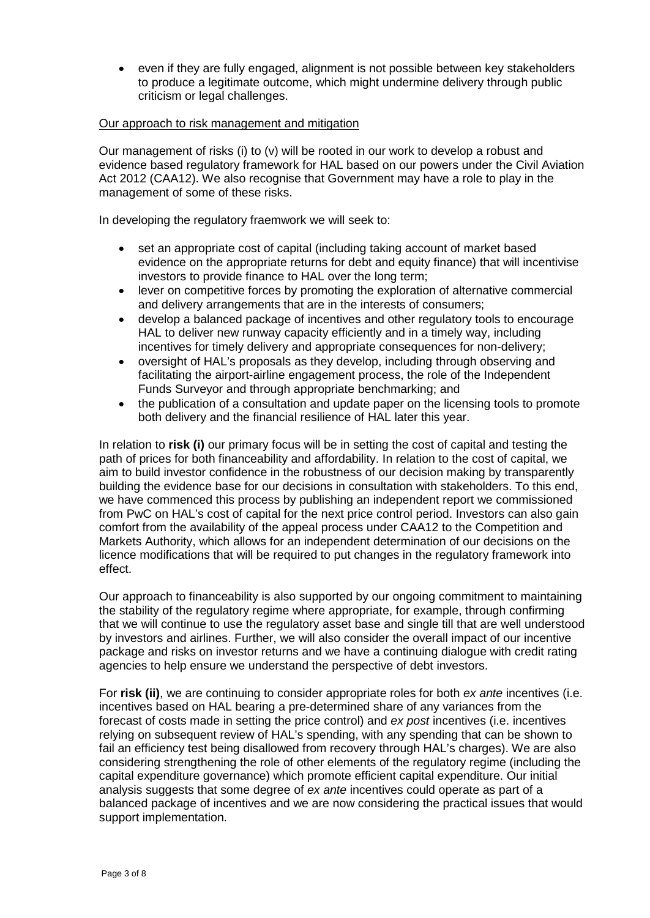• even if they are fully engaged, alignment is not possible between key stakeholders to produce a legitimate outcome, which might undermine delivery through public criticism or legal challenges.

## Our approach to risk management and mitigation

Our management of risks (i) to (v) will be rooted in our work to develop a robust and evidence based regulatory framework for HAL based on our powers under the Civil Aviation Act 2012 (CAA12). We also recognise that Government may have a role to play in the management of some of these risks.

In developing the regulatory fraemwork we will seek to:

- set an appropriate cost of capital (including taking account of market based evidence on the appropriate returns for debt and equity finance) that will incentivise investors to provide finance to HAL over the long term;
- lever on competitive forces by promoting the exploration of alternative commercial and delivery arrangements that are in the interests of consumers;
- develop a balanced package of incentives and other regulatory tools to encourage HAL to deliver new runway capacity efficiently and in a timely way, including incentives for timely delivery and appropriate consequences for non-delivery;
- oversight of HAL's proposals as they develop, including through observing and facilitating the airport-airline engagement process, the role of the Independent Funds Surveyor and through appropriate benchmarking; and
- the publication of a consultation and update paper on the licensing tools to promote both delivery and the financial resilience of HAL later this year.

In relation to **risk (i)** our primary focus will be in setting the cost of capital and testing the path of prices for both financeability and affordability. In relation to the cost of capital, we aim to build investor confidence in the robustness of our decision making by transparently building the evidence base for our decisions in consultation with stakeholders. To this end, we have commenced this process by publishing an independent report we commissioned from PwC on HAL's cost of capital for the next price control period. Investors can also gain comfort from the availability of the appeal process under CAA12 to the Competition and Markets Authority, which allows for an independent determination of our decisions on the licence modifications that will be required to put changes in the regulatory framework into effect.

Our approach to financeability is also supported by our ongoing commitment to maintaining the stability of the regulatory regime where appropriate, for example, through confirming that we will continue to use the regulatory asset base and single till that are well understood by investors and airlines. Further, we will also consider the overall impact of our incentive package and risks on investor returns and we have a continuing dialogue with credit rating agencies to help ensure we understand the perspective of debt investors.

For **risk (ii)**, we are continuing to consider appropriate roles for both *ex ante* incentives (i.e. incentives based on HAL bearing a pre-determined share of any variances from the forecast of costs made in setting the price control) and *ex post* incentives (i.e. incentives relying on subsequent review of HAL's spending, with any spending that can be shown to fail an efficiency test being disallowed from recovery through HAL's charges). We are also considering strengthening the role of other elements of the regulatory regime (including the capital expenditure governance) which promote efficient capital expenditure. Our initial analysis suggests that some degree of *ex ante* incentives could operate as part of a balanced package of incentives and we are now considering the practical issues that would support implementation.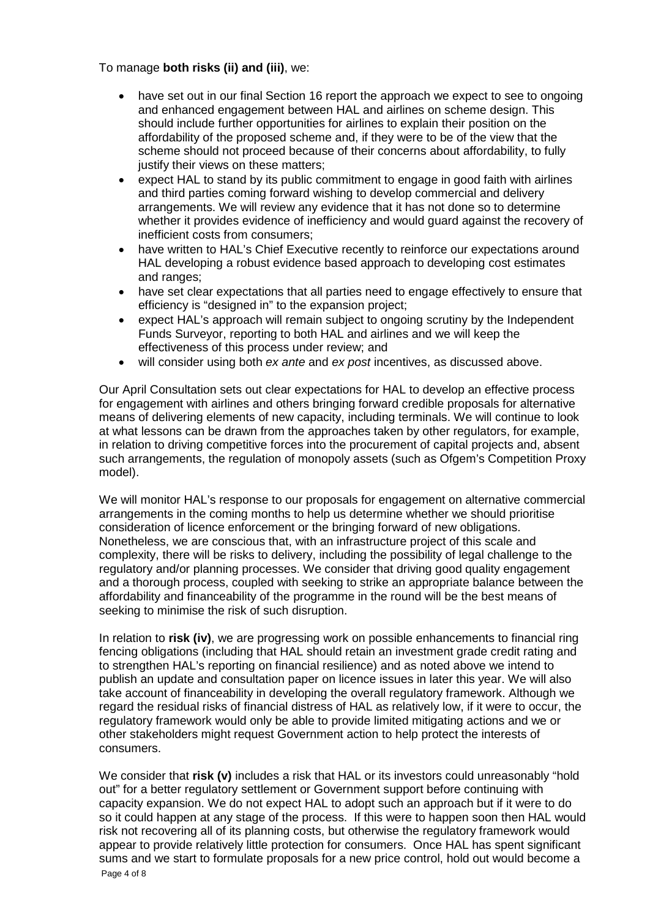To manage **both risks (ii) and (iii)**, we:

- have set out in our final Section 16 report the approach we expect to see to ongoing and enhanced engagement between HAL and airlines on scheme design. This should include further opportunities for airlines to explain their position on the affordability of the proposed scheme and, if they were to be of the view that the scheme should not proceed because of their concerns about affordability, to fully justify their views on these matters:
- expect HAL to stand by its public commitment to engage in good faith with airlines and third parties coming forward wishing to develop commercial and delivery arrangements. We will review any evidence that it has not done so to determine whether it provides evidence of inefficiency and would guard against the recovery of inefficient costs from consumers;
- have written to HAL's Chief Executive recently to reinforce our expectations around HAL developing a robust evidence based approach to developing cost estimates and ranges;
- have set clear expectations that all parties need to engage effectively to ensure that efficiency is "designed in" to the expansion project;
- expect HAL's approach will remain subject to ongoing scrutiny by the Independent Funds Surveyor, reporting to both HAL and airlines and we will keep the effectiveness of this process under review; and
- will consider using both *ex ante* and *ex post* incentives, as discussed above.

Our April Consultation sets out clear expectations for HAL to develop an effective process for engagement with airlines and others bringing forward credible proposals for alternative means of delivering elements of new capacity, including terminals. We will continue to look at what lessons can be drawn from the approaches taken by other regulators, for example, in relation to driving competitive forces into the procurement of capital projects and, absent such arrangements, the regulation of monopoly assets (such as Ofgem's Competition Proxy model).

We will monitor HAL's response to our proposals for engagement on alternative commercial arrangements in the coming months to help us determine whether we should prioritise consideration of licence enforcement or the bringing forward of new obligations. Nonetheless, we are conscious that, with an infrastructure project of this scale and complexity, there will be risks to delivery, including the possibility of legal challenge to the regulatory and/or planning processes. We consider that driving good quality engagement and a thorough process, coupled with seeking to strike an appropriate balance between the affordability and financeability of the programme in the round will be the best means of seeking to minimise the risk of such disruption.

In relation to **risk (iv)**, we are progressing work on possible enhancements to financial ring fencing obligations (including that HAL should retain an investment grade credit rating and to strengthen HAL's reporting on financial resilience) and as noted above we intend to publish an update and consultation paper on licence issues in later this year. We will also take account of financeability in developing the overall regulatory framework. Although we regard the residual risks of financial distress of HAL as relatively low, if it were to occur, the regulatory framework would only be able to provide limited mitigating actions and we or other stakeholders might request Government action to help protect the interests of consumers.

We consider that **risk (v)** includes a risk that HAL or its investors could unreasonably "hold out" for a better regulatory settlement or Government support before continuing with capacity expansion. We do not expect HAL to adopt such an approach but if it were to do so it could happen at any stage of the process. If this were to happen soon then HAL would risk not recovering all of its planning costs, but otherwise the regulatory framework would appear to provide relatively little protection for consumers. Once HAL has spent significant sums and we start to formulate proposals for a new price control, hold out would become a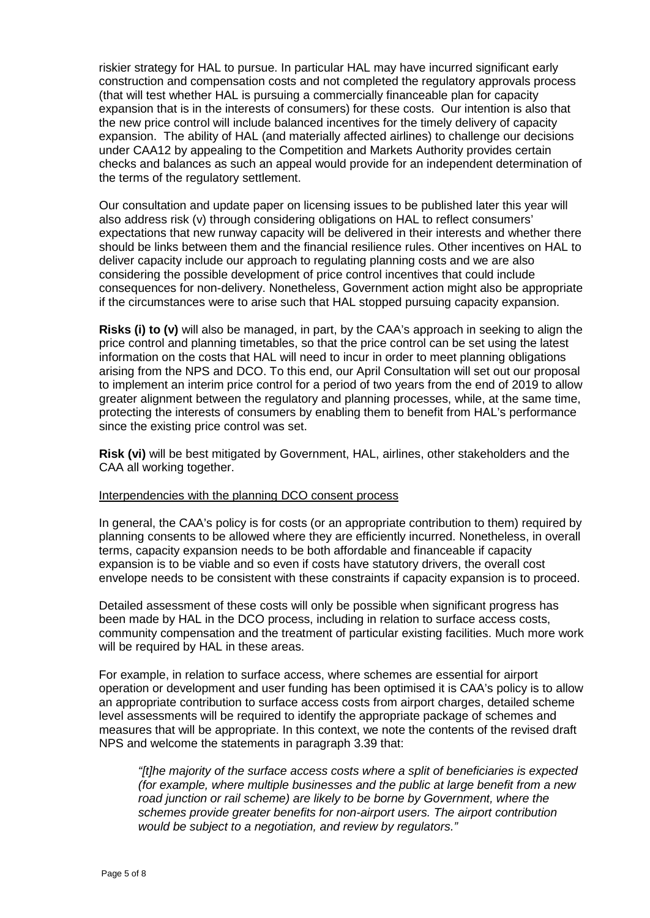riskier strategy for HAL to pursue. In particular HAL may have incurred significant early construction and compensation costs and not completed the regulatory approvals process (that will test whether HAL is pursuing a commercially financeable plan for capacity expansion that is in the interests of consumers) for these costs. Our intention is also that the new price control will include balanced incentives for the timely delivery of capacity expansion. The ability of HAL (and materially affected airlines) to challenge our decisions under CAA12 by appealing to the Competition and Markets Authority provides certain checks and balances as such an appeal would provide for an independent determination of the terms of the regulatory settlement.

Our consultation and update paper on licensing issues to be published later this year will also address risk (v) through considering obligations on HAL to reflect consumers' expectations that new runway capacity will be delivered in their interests and whether there should be links between them and the financial resilience rules. Other incentives on HAL to deliver capacity include our approach to regulating planning costs and we are also considering the possible development of price control incentives that could include consequences for non-delivery. Nonetheless, Government action might also be appropriate if the circumstances were to arise such that HAL stopped pursuing capacity expansion.

**Risks (i) to (v)** will also be managed, in part, by the CAA's approach in seeking to align the price control and planning timetables, so that the price control can be set using the latest information on the costs that HAL will need to incur in order to meet planning obligations arising from the NPS and DCO. To this end, our April Consultation will set out our proposal to implement an interim price control for a period of two years from the end of 2019 to allow greater alignment between the regulatory and planning processes, while, at the same time, protecting the interests of consumers by enabling them to benefit from HAL's performance since the existing price control was set.

**Risk (vi)** will be best mitigated by Government, HAL, airlines, other stakeholders and the CAA all working together.

## Interpendencies with the planning DCO consent process

In general, the CAA's policy is for costs (or an appropriate contribution to them) required by planning consents to be allowed where they are efficiently incurred. Nonetheless, in overall terms, capacity expansion needs to be both affordable and financeable if capacity expansion is to be viable and so even if costs have statutory drivers, the overall cost envelope needs to be consistent with these constraints if capacity expansion is to proceed.

Detailed assessment of these costs will only be possible when significant progress has been made by HAL in the DCO process, including in relation to surface access costs, community compensation and the treatment of particular existing facilities. Much more work will be required by HAL in these areas.

For example, in relation to surface access, where schemes are essential for airport operation or development and user funding has been optimised it is CAA's policy is to allow an appropriate contribution to surface access costs from airport charges, detailed scheme level assessments will be required to identify the appropriate package of schemes and measures that will be appropriate. In this context, we note the contents of the revised draft NPS and welcome the statements in paragraph 3.39 that:

*"[t]he majority of the surface access costs where a split of beneficiaries is expected (for example, where multiple businesses and the public at large benefit from a new*  road junction or rail scheme) are likely to be borne by Government, where the *schemes provide greater benefits for non-airport users. The airport contribution would be subject to a negotiation, and review by regulators."*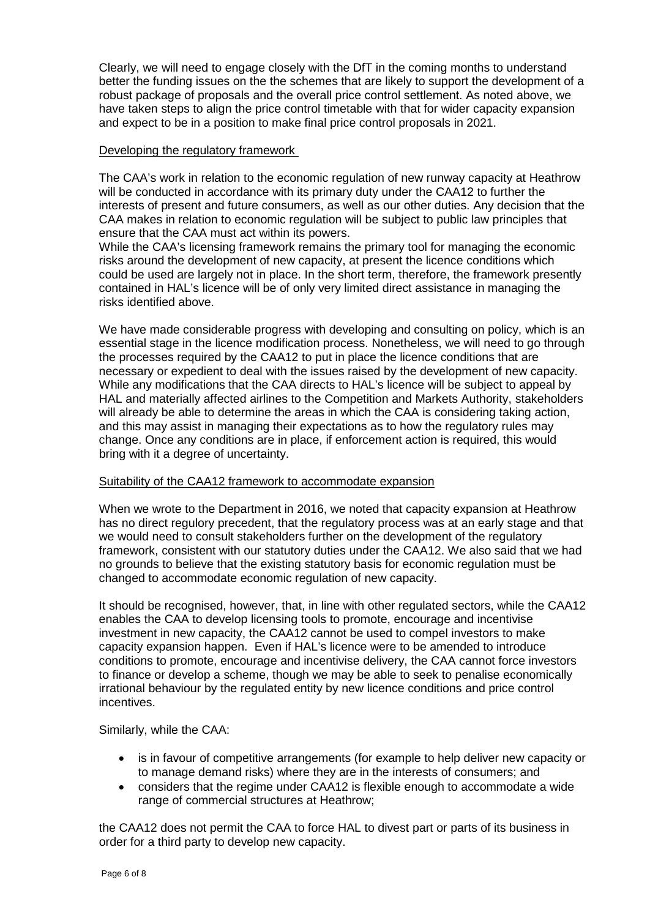Clearly, we will need to engage closely with the DfT in the coming months to understand better the funding issues on the the schemes that are likely to support the development of a robust package of proposals and the overall price control settlement. As noted above, we have taken steps to align the price control timetable with that for wider capacity expansion and expect to be in a position to make final price control proposals in 2021.

## Developing the regulatory framework

The CAA's work in relation to the economic regulation of new runway capacity at Heathrow will be conducted in accordance with its primary duty under the CAA12 to further the interests of present and future consumers, as well as our other duties. Any decision that the CAA makes in relation to economic regulation will be subject to public law principles that ensure that the CAA must act within its powers.

While the CAA's licensing framework remains the primary tool for managing the economic risks around the development of new capacity, at present the licence conditions which could be used are largely not in place. In the short term, therefore, the framework presently contained in HAL's licence will be of only very limited direct assistance in managing the risks identified above.

We have made considerable progress with developing and consulting on policy, which is an essential stage in the licence modification process. Nonetheless, we will need to go through the processes required by the CAA12 to put in place the licence conditions that are necessary or expedient to deal with the issues raised by the development of new capacity. While any modifications that the CAA directs to HAL's licence will be subject to appeal by HAL and materially affected airlines to the Competition and Markets Authority, stakeholders will already be able to determine the areas in which the CAA is considering taking action, and this may assist in managing their expectations as to how the regulatory rules may change. Once any conditions are in place, if enforcement action is required, this would bring with it a degree of uncertainty.

# Suitability of the CAA12 framework to accommodate expansion

When we wrote to the Department in 2016, we noted that capacity expansion at Heathrow has no direct regulory precedent, that the regulatory process was at an early stage and that we would need to consult stakeholders further on the development of the regulatory framework, consistent with our statutory duties under the CAA12. We also said that we had no grounds to believe that the existing statutory basis for economic regulation must be changed to accommodate economic regulation of new capacity.

It should be recognised, however, that, in line with other regulated sectors, while the CAA12 enables the CAA to develop licensing tools to promote, encourage and incentivise investment in new capacity, the CAA12 cannot be used to compel investors to make capacity expansion happen. Even if HAL's licence were to be amended to introduce conditions to promote, encourage and incentivise delivery, the CAA cannot force investors to finance or develop a scheme, though we may be able to seek to penalise economically irrational behaviour by the regulated entity by new licence conditions and price control incentives.

Similarly, while the CAA:

- is in favour of competitive arrangements (for example to help deliver new capacity or to manage demand risks) where they are in the interests of consumers; and
- considers that the regime under CAA12 is flexible enough to accommodate a wide range of commercial structures at Heathrow;

the CAA12 does not permit the CAA to force HAL to divest part or parts of its business in order for a third party to develop new capacity.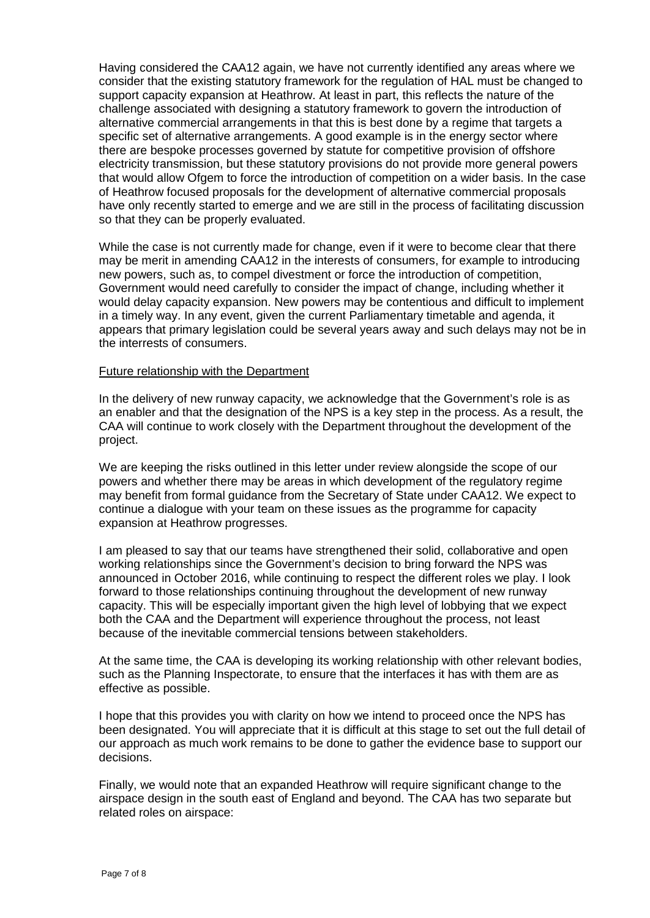Having considered the CAA12 again, we have not currently identified any areas where we consider that the existing statutory framework for the regulation of HAL must be changed to support capacity expansion at Heathrow. At least in part, this reflects the nature of the challenge associated with designing a statutory framework to govern the introduction of alternative commercial arrangements in that this is best done by a regime that targets a specific set of alternative arrangements. A good example is in the energy sector where there are bespoke processes governed by statute for competitive provision of offshore electricity transmission, but these statutory provisions do not provide more general powers that would allow Ofgem to force the introduction of competition on a wider basis. In the case of Heathrow focused proposals for the development of alternative commercial proposals have only recently started to emerge and we are still in the process of facilitating discussion so that they can be properly evaluated.

While the case is not currently made for change, even if it were to become clear that there may be merit in amending CAA12 in the interests of consumers, for example to introducing new powers, such as, to compel divestment or force the introduction of competition, Government would need carefully to consider the impact of change, including whether it would delay capacity expansion. New powers may be contentious and difficult to implement in a timely way. In any event, given the current Parliamentary timetable and agenda, it appears that primary legislation could be several years away and such delays may not be in the interrests of consumers.

#### Future relationship with the Department

In the delivery of new runway capacity, we acknowledge that the Government's role is as an enabler and that the designation of the NPS is a key step in the process. As a result, the CAA will continue to work closely with the Department throughout the development of the project.

We are keeping the risks outlined in this letter under review alongside the scope of our powers and whether there may be areas in which development of the regulatory regime may benefit from formal guidance from the Secretary of State under CAA12. We expect to continue a dialogue with your team on these issues as the programme for capacity expansion at Heathrow progresses.

I am pleased to say that our teams have strengthened their solid, collaborative and open working relationships since the Government's decision to bring forward the NPS was announced in October 2016, while continuing to respect the different roles we play. I look forward to those relationships continuing throughout the development of new runway capacity. This will be especially important given the high level of lobbying that we expect both the CAA and the Department will experience throughout the process, not least because of the inevitable commercial tensions between stakeholders.

At the same time, the CAA is developing its working relationship with other relevant bodies, such as the Planning Inspectorate, to ensure that the interfaces it has with them are as effective as possible.

I hope that this provides you with clarity on how we intend to proceed once the NPS has been designated. You will appreciate that it is difficult at this stage to set out the full detail of our approach as much work remains to be done to gather the evidence base to support our decisions.

Finally, we would note that an expanded Heathrow will require significant change to the airspace design in the south east of England and beyond. The CAA has two separate but related roles on airspace: